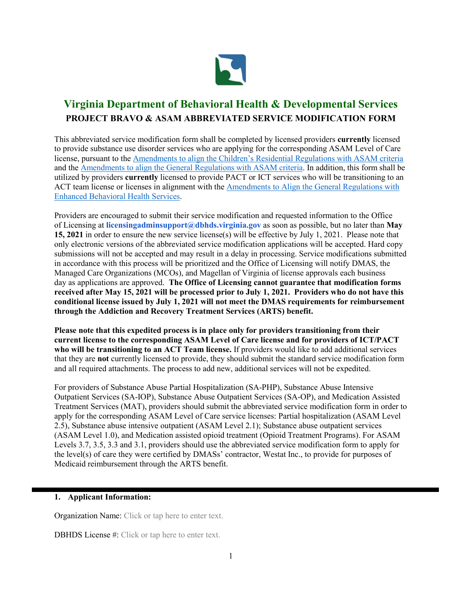

# **Virginia Department of Behavioral Health & Developmental Services PROJECT BRAVO & ASAM ABBREVIATED SERVICE MODIFICATION FORM**

This abbreviated service modification form shall be completed by licensed providers **currently** licensed to provide substance use disorder services who are applying for the corresponding ASAM Level of Care license, pursuant to the [Amendments to align the Children's Residential Regulations with ASAM criteria](https://townhall.virginia.gov/L/ViewXML.cfm?textid=14889) and the [Amendments to align the General Regulations with ASAM criteria.](https://townhall.virginia.gov/L/ViewStage.cfm?stageid=9015) In addition, this form shall be utilized by providers **currently** licensed to provide PACT or ICT services who will be transitioning to an ACT team license or licenses in alignment with the Amendments to Align the General Regulations with [Enhanced Behavioral Health Services.](https://townhall.virginia.gov/L/ViewStage.cfm?stageid=9017)

Providers are encouraged to submit their service modification and requested information to the Office of Licensing at **licensingadminsupport@dbhds.virginia.gov** as soon as possible, but no later than **May 15, 2021** in order to ensure the new service license(s) will be effective by July 1, 2021. Please note that only electronic versions of the abbreviated service modification applications will be accepted. Hard copy submissions will not be accepted and may result in a delay in processing. Service modifications submitted in accordance with this process will be prioritized and the Office of Licensing will notify DMAS, the Managed Care Organizations (MCOs), and Magellan of Virginia of license approvals each business day as applications are approved. **The Office of Licensing cannot guarantee that modification forms received after May 15, 2021 will be processed prior to July 1, 2021. Providers who do not have this conditional license issued by July 1, 2021 will not meet the DMAS requirements for reimbursement through the Addiction and Recovery Treatment Services (ARTS) benefit.**

**Please note that this expedited process is in place only for providers transitioning from their current license to the corresponding ASAM Level of Care license and for providers of ICT/PACT who will be transitioning to an ACT Team license.** If providers would like to add additional services that they are **not** currently licensed to provide, they should submit the standard service modification form and all required attachments. The process to add new, additional services will not be expedited.

For providers of Substance Abuse Partial Hospitalization (SA-PHP), Substance Abuse Intensive Outpatient Services (SA-IOP), Substance Abuse Outpatient Services (SA-OP), and Medication Assisted Treatment Services (MAT), providers should submit the abbreviated service modification form in order to apply for the corresponding ASAM Level of Care service licenses: Partial hospitalization (ASAM Level 2.5), Substance abuse intensive outpatient (ASAM Level 2.1); Substance abuse outpatient services (ASAM Level 1.0), and Medication assisted opioid treatment (Opioid Treatment Programs). For ASAM Levels 3.7, 3.5, 3.3 and 3.1, providers should use the abbreviated service modification form to apply for the level(s) of care they were certified by DMASs' contractor, Westat Inc., to provide for purposes of Medicaid reimbursement through the ARTS benefit.

# **1. Applicant Information:**

Organization Name: Click or tap here to enter text.

DBHDS License #: Click or tap here to enter text.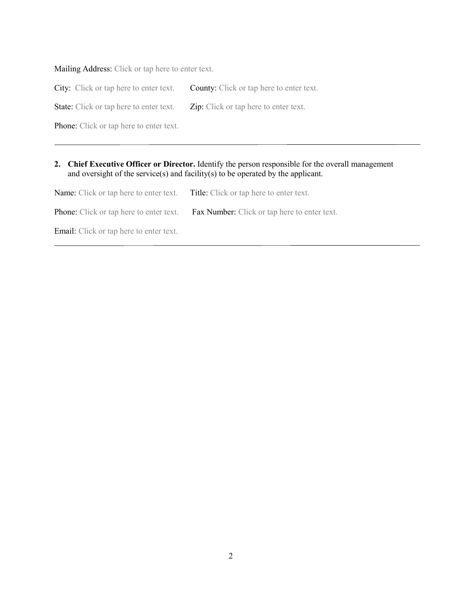Mailing Address: Click or tap here to enter text.

City: Click or tap here to enter text. County: Click or tap here to enter text.

State: Click or tap here to enter text. Zip: Click or tap here to enter text.

Phone: Click or tap here to enter text.

# **2. Chief Executive Officer or Director.** Identify the person responsible for the overall management and oversight of the service(s) and facility(s) to be operated by the applicant.

Name: Click or tap here to enter text. Title: Click or tap here to enter text. Phone: Click or tap here to enter text. Fax Number: Click or tap here to enter text. Email: Click or tap here to enter text.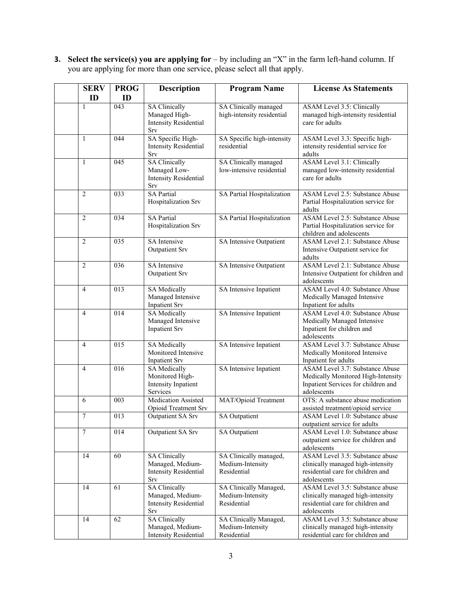**3. Select the service(s) you are applying for** – by including an "X" in the farm left-hand column. If you are applying for more than one service, please select all that apply.

| <b>SERV</b>    | <b>PROG</b> | <b>Description</b>                                                              | <b>Program Name</b>                                       | <b>License As Statements</b>                                                                                                       |
|----------------|-------------|---------------------------------------------------------------------------------|-----------------------------------------------------------|------------------------------------------------------------------------------------------------------------------------------------|
| ID             | ID          |                                                                                 |                                                           |                                                                                                                                    |
| 1              | 043         | <b>SA Clinically</b><br>Managed High-<br><b>Intensity Residential</b><br>Srv    | SA Clinically managed<br>high-intensity residential       | <b>ASAM Level 3.5: Clinically</b><br>managed high-intensity residential<br>care for adults                                         |
| 1              | 044         | SA Specific High-<br><b>Intensity Residential</b><br>Srv                        | SA Specific high-intensity<br>residential                 | ASAM Level 3.3: Specific high-<br>intensity residential service for<br>adults                                                      |
| $\mathbf{1}$   | 045         | <b>SA Clinically</b><br>Managed Low-<br><b>Intensity Residential</b><br>Srv     | SA Clinically managed<br>low-intensive residential        | <b>ASAM</b> Level 3.1: Clinically<br>managed low-intensity residential<br>care for adults                                          |
| $\overline{c}$ | 033         | <b>SA Partial</b><br>Hospitalization Srv                                        | SA Partial Hospitalization                                | <b>ASAM Level 2.5: Substance Abuse</b><br>Partial Hospitalization service for<br>adults                                            |
| $\overline{2}$ | 034         | <b>SA Partial</b><br>Hospitalization Srv                                        | SA Partial Hospitalization                                | <b>ASAM Level 2.5: Substance Abuse</b><br>Partial Hospitalization service for<br>children and adolescents                          |
| $\overline{c}$ | 035         | <b>SA</b> Intensive<br><b>Outpatient Srv</b>                                    | SA Intensive Outpatient                                   | <b>ASAM Level 2.1: Substance Abuse</b><br>Intensive Outpatient service for<br>adults                                               |
| $\overline{c}$ | 036         | SA Intensive<br><b>Outpatient Srv</b>                                           | SA Intensive Outpatient                                   | <b>ASAM Level 2.1: Substance Abuse</b><br>Intensive Outpatient for children and<br>adolescents                                     |
| 4              | 013         | <b>SA Medically</b><br>Managed Intensive<br><b>Inpatient Srv</b>                | SA Intensive Inpatient                                    | <b>ASAM Level 4.0: Substance Abuse</b><br>Medically Managed Intensive<br>Inpatient for adults                                      |
| $\overline{4}$ | 014         | <b>SA</b> Medically<br>Managed Intensive<br><b>Inpatient Srv</b>                | SA Intensive Inpatient                                    | <b>ASAM Level 4.0: Substance Abuse</b><br>Medically Managed Intensive<br>Inpatient for children and<br>adolescents                 |
| $\overline{4}$ | 015         | <b>SA Medically</b><br>Monitored Intensive<br><b>Inpatient Srv</b>              | SA Intensive Inpatient                                    | <b>ASAM Level 3.7: Substance Abuse</b><br>Medically Monitored Intensive<br>Inpatient for adults                                    |
| $\overline{4}$ | 016         | <b>SA Medically</b><br>Monitored High-<br>Intensity Inpatient<br>Services       | SA Intensive Inpatient                                    | <b>ASAM Level 3.7: Substance Abuse</b><br>Medically Monitored High-Intensity<br>Inpatient Services for children and<br>adolescents |
| 6              | 003         | <b>Medication Assisted</b><br>Opioid Treatment Srv                              | MAT/Opioid Treatment                                      | OTS: A substance abuse medication<br>assisted treatment/opioid service                                                             |
| 7              | 013         | Outpatient SA Srv                                                               | <b>SA Outpatient</b>                                      | <b>ASAM Level 1.0: Substance abuse</b><br>outpatient service for adults                                                            |
| 7              | 014         | Outpatient SA Srv                                                               | <b>SA Outpatient</b>                                      | ASAM Level 1.0: Substance abuse<br>outpatient service for children and<br>adolescents                                              |
| 14             | 60          | <b>SA Clinically</b><br>Managed, Medium-<br><b>Intensity Residential</b><br>Srv | SA Clinically managed,<br>Medium-Intensity<br>Residential | <b>ASAM</b> Level 3.5: Substance abuse<br>clinically managed high-intensity<br>residential care for children and<br>adolescents    |
| 14             | 61          | <b>SA Clinically</b><br>Managed, Medium-<br><b>Intensity Residential</b><br>Srv | SA Clinically Managed,<br>Medium-Intensity<br>Residential | ASAM Level 3.5: Substance abuse<br>clinically managed high-intensity<br>residential care for children and<br>adolescents           |
| 14             | 62          | <b>SA Clinically</b><br>Managed, Medium-<br><b>Intensity Residential</b>        | SA Clinically Managed,<br>Medium-Intensity<br>Residential | ASAM Level 3.5: Substance abuse<br>clinically managed high-intensity<br>residential care for children and                          |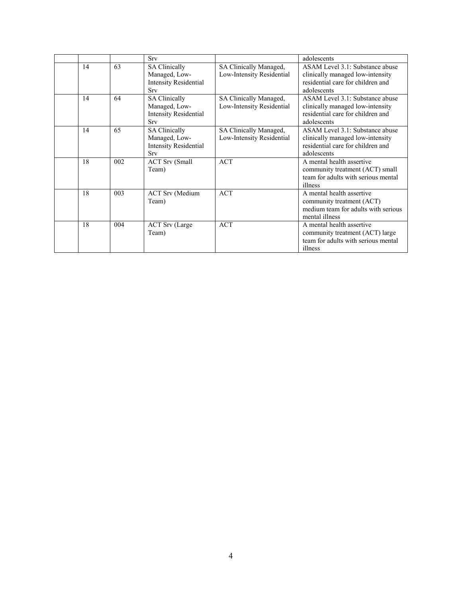|    |     | Srv                                                                          |                                                     | adolescents                                                                                                             |
|----|-----|------------------------------------------------------------------------------|-----------------------------------------------------|-------------------------------------------------------------------------------------------------------------------------|
| 14 | 63  | <b>SA Clinically</b><br>Managed, Low-<br><b>Intensity Residential</b><br>Srv | SA Clinically Managed,<br>Low-Intensity Residential | ASAM Level 3.1: Substance abuse<br>clinically managed low-intensity<br>residential care for children and<br>adolescents |
| 14 | 64  | <b>SA Clinically</b><br>Managed, Low-<br>Intensity Residential<br>Srv        | SA Clinically Managed,<br>Low-Intensity Residential | ASAM Level 3.1: Substance abuse<br>clinically managed low-intensity<br>residential care for children and<br>adolescents |
| 14 | 65  | <b>SA Clinically</b><br>Managed, Low-<br>Intensity Residential<br>Srv        | SA Clinically Managed,<br>Low-Intensity Residential | ASAM Level 3.1: Substance abuse<br>clinically managed low-intensity<br>residential care for children and<br>adolescents |
| 18 | 002 | <b>ACT Srv (Small</b><br>Team)                                               | <b>ACT</b>                                          | A mental health assertive<br>community treatment (ACT) small<br>team for adults with serious mental<br>illness          |
| 18 | 003 | <b>ACT Srv</b> (Medium<br>Team)                                              | <b>ACT</b>                                          | A mental health assertive<br>community treatment (ACT)<br>medium team for adults with serious<br>mental illness         |
| 18 | 004 | <b>ACT Srv</b> (Large<br>Team)                                               | <b>ACT</b>                                          | A mental health assertive<br>community treatment (ACT) large<br>team for adults with serious mental<br>illness          |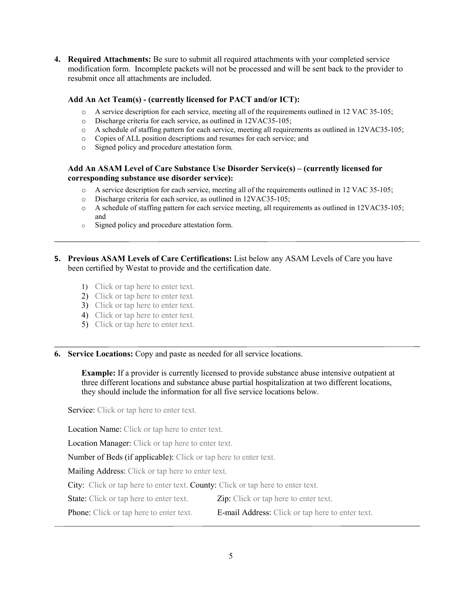**4. Required Attachments:** Be sure to submit all required attachments with your completed service modification form. Incomplete packets will not be processed and will be sent back to the provider to resubmit once all attachments are included.

#### **Add An Act Team(s) - (currently licensed for PACT and/or ICT):**

- o A service description for each service, meeting all of the requirements outlined in 12 VAC 35-105;
- o Discharge criteria for each service, as outlined in 12VAC35-105;
- o A schedule of staffing pattern for each service, meeting all requirements as outlined in 12VAC35-105;
- $\circ$  Copies of ALL position descriptions and resumes for each service; and  $\circ$  Signed policy and procedure attestation form.
- Signed policy and procedure attestation form.

# **Add An ASAM Level of Care Substance Use Disorder Service(s) – (currently licensed for corresponding substance use disorder service):**

- o A service description for each service, meeting all of the requirements outlined in 12 VAC 35-105;
- Discharge criteria for each service, as outlined in 12VAC35-105;
- o A schedule of staffing pattern for each service meeting, all requirements as outlined in 12VAC35-105; and
- o Signed policy and procedure attestation form.
- **5. Previous ASAM Levels of Care Certifications:** List below any ASAM Levels of Care you have been certified by Westat to provide and the certification date.
	- 1) Click or tap here to enter text.
	- 2) Click or tap here to enter text.
	- 3) Click or tap here to enter text.
	- 4) Click or tap here to enter text.
	- 5) Click or tap here to enter text.

**6. Service Locations:** Copy and paste as needed for all service locations.

**Example:** If a provider is currently licensed to provide substance abuse intensive outpatient at three different locations and substance abuse partial hospitalization at two different locations, they should include the information for all five service locations below.

Service: Click or tap here to enter text.

Location Name: Click or tap here to enter text.

Location Manager: Click or tap here to enter text.

Number of Beds (if applicable): Click or tap here to enter text.

Mailing Address: Click or tap here to enter text.

City: Click or tap here to enter text. County: Click or tap here to enter text.

State: Click or tap here to enter text. Zip: Click or tap here to enter text.

Phone: Click or tap here to enter text. **E-mail Address:** Click or tap here to enter text.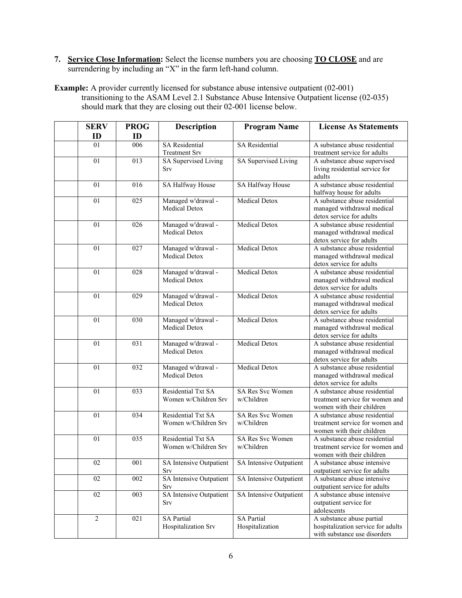**7. Service Close Information:** Select the license numbers you are choosing **TO CLOSE** and are surrendering by including an "X" in the farm left-hand column.

**Example:** A provider currently licensed for substance abuse intensive outpatient (02-001) transitioning to the ASAM Level 2.1 Substance Abuse Intensive Outpatient license (02-035) should mark that they are closing out their 02-001 license below.

| <b>SERV</b><br>ID | <b>PROG</b><br>ID | <b>Description</b>                            | <b>Program Name</b>                   | <b>License As Statements</b>                                                                    |
|-------------------|-------------------|-----------------------------------------------|---------------------------------------|-------------------------------------------------------------------------------------------------|
| 01                | 006               | <b>SA Residential</b><br><b>Treatment Srv</b> | <b>SA</b> Residential                 | A substance abuse residential<br>treatment service for adults                                   |
| 01                | 013               | SA Supervised Living<br>Srv                   | SA Supervised Living                  | A substance abuse supervised<br>living residential service for<br>adults                        |
| 01                | 016               | SA Halfway House                              | SA Halfway House                      | A substance abuse residential<br>halfway house for adults                                       |
| 01                | 025               | Managed w'drawal -<br><b>Medical Detox</b>    | <b>Medical Detox</b>                  | A substance abuse residential<br>managed withdrawal medical<br>detox service for adults         |
| 01                | 026               | Managed w'drawal -<br><b>Medical Detox</b>    | <b>Medical Detox</b>                  | A substance abuse residential<br>managed withdrawal medical<br>detox service for adults         |
| 01                | 027               | Managed w'drawal -<br><b>Medical Detox</b>    | Medical Detox                         | A substance abuse residential<br>managed withdrawal medical<br>detox service for adults         |
| 01                | 028               | Managed w'drawal -<br><b>Medical Detox</b>    | Medical Detox                         | A substance abuse residential<br>managed withdrawal medical<br>detox service for adults         |
| 01                | 029               | Managed w'drawal -<br><b>Medical Detox</b>    | Medical Detox                         | A substance abuse residential<br>managed withdrawal medical<br>detox service for adults         |
| 01                | 030               | Managed w'drawal -<br><b>Medical Detox</b>    | <b>Medical Detox</b>                  | A substance abuse residential<br>managed withdrawal medical<br>detox service for adults         |
| 01                | 031               | Managed w'drawal -<br><b>Medical Detox</b>    | <b>Medical Detox</b>                  | A substance abuse residential<br>managed withdrawal medical<br>detox service for adults         |
| 01                | 032               | Managed w'drawal -<br><b>Medical Detox</b>    | <b>Medical Detox</b>                  | A substance abuse residential<br>managed withdrawal medical<br>detox service for adults         |
| $\overline{01}$   | 033               | Residential Txt SA<br>Women w/Children Srv    | <b>SA Res Svc Women</b><br>w/Children | A substance abuse residential<br>treatment service for women and<br>women with their children   |
| 01                | 034               | Residential Txt SA<br>Women w/Children Srv    | <b>SA Res Svc Women</b><br>w/Children | A substance abuse residential<br>treatment service for women and<br>women with their children   |
| $\overline{01}$   | 035               | Residential Txt SA<br>Women w/Children Srv    | SA Res Svc Women<br>w/Children        | A substance abuse residential<br>treatment service for women and<br>women with their children   |
| 02                | 001               | SA Intensive Outpatient<br>Srv                | SA Intensive Outpatient               | A substance abuse intensive<br>outpatient service for adults                                    |
| 02                | 002               | SA Intensive Outpatient<br>Srv                | SA Intensive Outpatient               | A substance abuse intensive<br>outpatient service for adults                                    |
| 02                | 003               | SA Intensive Outpatient<br>Srv                | SA Intensive Outpatient               | A substance abuse intensive<br>outpatient service for<br>adolescents                            |
| $\overline{2}$    | 021               | <b>SA Partial</b><br>Hospitalization Srv      | <b>SA Partial</b><br>Hospitalization  | A substance abuse partial<br>hospitalization service for adults<br>with substance use disorders |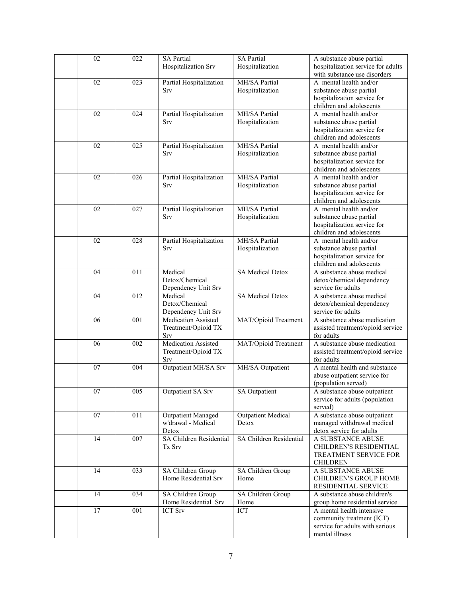| 02 | 022              | <b>SA Partial</b>          | <b>SA Partial</b>         | A substance abuse partial                 |
|----|------------------|----------------------------|---------------------------|-------------------------------------------|
|    |                  | Hospitalization Srv        | Hospitalization           | hospitalization service for adults        |
|    |                  |                            |                           | with substance use disorders              |
| 02 | 023              | Partial Hospitalization    | MH/SA Partial             | A mental health and/or                    |
|    |                  | Srv                        | Hospitalization           | substance abuse partial                   |
|    |                  |                            |                           | hospitalization service for               |
|    |                  |                            |                           | children and adolescents                  |
| 02 | 024              | Partial Hospitalization    | MH/SA Partial             | A mental health and/or                    |
|    |                  | Srv                        | Hospitalization           | substance abuse partial                   |
|    |                  |                            |                           | hospitalization service for               |
|    |                  |                            |                           | children and adolescents                  |
| 02 | 025              | Partial Hospitalization    | MH/SA Partial             | A mental health and/or                    |
|    |                  | Srv                        | Hospitalization           | substance abuse partial                   |
|    |                  |                            |                           | hospitalization service for               |
|    |                  |                            |                           | children and adolescents                  |
| 02 | 026              | Partial Hospitalization    | MH/SA Partial             | A mental health and/or                    |
|    |                  | Srv                        | Hospitalization           | substance abuse partial                   |
|    |                  |                            |                           | hospitalization service for               |
|    |                  |                            |                           | children and adolescents                  |
| 02 | 027              | Partial Hospitalization    | MH/SA Partial             | A mental health and/or                    |
|    |                  | Srv                        | Hospitalization           | substance abuse partial                   |
|    |                  |                            |                           | hospitalization service for               |
|    |                  |                            |                           | children and adolescents                  |
| 02 | 028              | Partial Hospitalization    | MH/SA Partial             | A mental health and/or                    |
|    |                  | Srv                        | Hospitalization           | substance abuse partial                   |
|    |                  |                            |                           | hospitalization service for               |
|    |                  |                            |                           | children and adolescents                  |
| 04 | 011              | Medical                    | <b>SA Medical Detox</b>   | A substance abuse medical                 |
|    |                  | Detox/Chemical             |                           | detox/chemical dependency                 |
|    |                  | Dependency Unit Srv        |                           | service for adults                        |
| 04 | 012              | Medical                    | <b>SA Medical Detox</b>   | A substance abuse medical                 |
|    |                  | Detox/Chemical             |                           | detox/chemical dependency                 |
|    |                  | Dependency Unit Srv        |                           | service for adults                        |
| 06 | $\overline{001}$ | <b>Medication Assisted</b> | MAT/Opioid Treatment      | A substance abuse medication              |
|    |                  | Treatment/Opioid TX        |                           | assisted treatment/opioid service         |
|    |                  | Srv                        |                           | for adults                                |
| 06 | 002              | Medication Assisted        | MAT/Opioid Treatment      | A substance abuse medication              |
|    |                  | Treatment/Opioid TX        |                           | assisted treatment/opioid service         |
|    |                  | Srv                        |                           | for adults                                |
| 07 | 004              | Outpatient MH/SA Srv       | MH/SA Outpatient          | A mental health and substance             |
|    |                  |                            |                           | abuse outpatient service for              |
|    |                  |                            |                           | (population served)                       |
| 07 | 005              | Outpatient SA Srv          | SA Outpatient             | A substance abuse outpatient              |
|    |                  |                            |                           | service for adults (population<br>served) |
| 07 | 011              | <b>Outpatient Managed</b>  | <b>Outpatient Medical</b> | A substance abuse outpatient              |
|    |                  | w'drawal - Medical         | Detox                     | managed withdrawal medical                |
|    |                  | Detox                      |                           | detox service for adults                  |
| 14 | 007              | SA Children Residential    | SA Children Residential   | A SUBSTANCE ABUSE                         |
|    |                  | Tx Srv                     |                           | CHILDREN'S RESIDENTIAL                    |
|    |                  |                            |                           | TREATMENT SERVICE FOR                     |
|    |                  |                            |                           | <b>CHILDREN</b>                           |
| 14 | 033              | SA Children Group          | SA Children Group         | A SUBSTANCE ABUSE                         |
|    |                  | Home Residential Srv       | Home                      | CHILDREN'S GROUP HOME                     |
|    |                  |                            |                           | RESIDENTIAL SERVICE                       |
| 14 | 034              | SA Children Group          | SA Children Group         | A substance abuse children's              |
|    |                  | Home Residential Srv       | Home                      | group home residential service            |
| 17 | 001              | <b>ICT Srv</b>             | <b>ICT</b>                | A mental health intensive                 |
|    |                  |                            |                           | community treatment (ICT)                 |
|    |                  |                            |                           | service for adults with serious           |
|    |                  |                            |                           | mental illness                            |
|    |                  |                            |                           |                                           |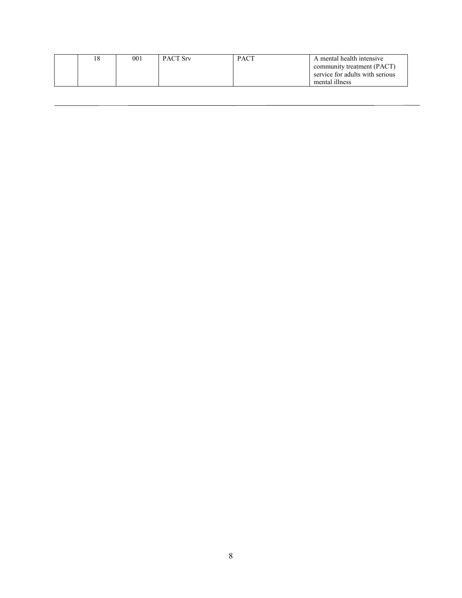|  | 001 | <b>PACT Srv</b> | <b>PACT</b> | A mental health intensive       |
|--|-----|-----------------|-------------|---------------------------------|
|  |     |                 |             | community treatment (PACT)      |
|  |     |                 |             | service for adults with serious |
|  |     |                 |             | mental illness                  |